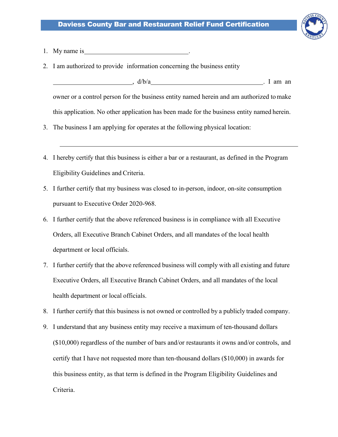

- 1. My name is
- 2. I am authorized to provide information concerning the business entity

 $\frac{d}{b/a}$  . I am an owner or a control person for the business entity named herein and am authorized to make this application. No other application has been made for the business entity named herein.

- 3. The business I am applying for operates at the following physical location:
- 4. I hereby certify that this business is either a bar or a restaurant, as defined in the Program Eligibility Guidelines and Criteria.
- 5. I further certify that my business was closed to in-person, indoor, on-site consumption pursuant to Executive Order 2020-968.
- 6. I further certify that the above referenced business is in compliance with all Executive Orders, all Executive Branch Cabinet Orders, and all mandates of the local health department or local officials.
- 7. I further certify that the above referenced business will comply with all existing and future Executive Orders, all Executive Branch Cabinet Orders, and all mandates of the local health department or local officials.
- 8. I further certify that this business is not owned or controlled by a publicly traded company.
- 9. I understand that any business entity may receive a maximum of ten-thousand dollars (\$10,000) regardless of the number of bars and/or restaurants it owns and/or controls, and certify that I have not requested more than ten-thousand dollars (\$10,000) in awards for this business entity, as that term is defined in the Program Eligibility Guidelines and Criteria.